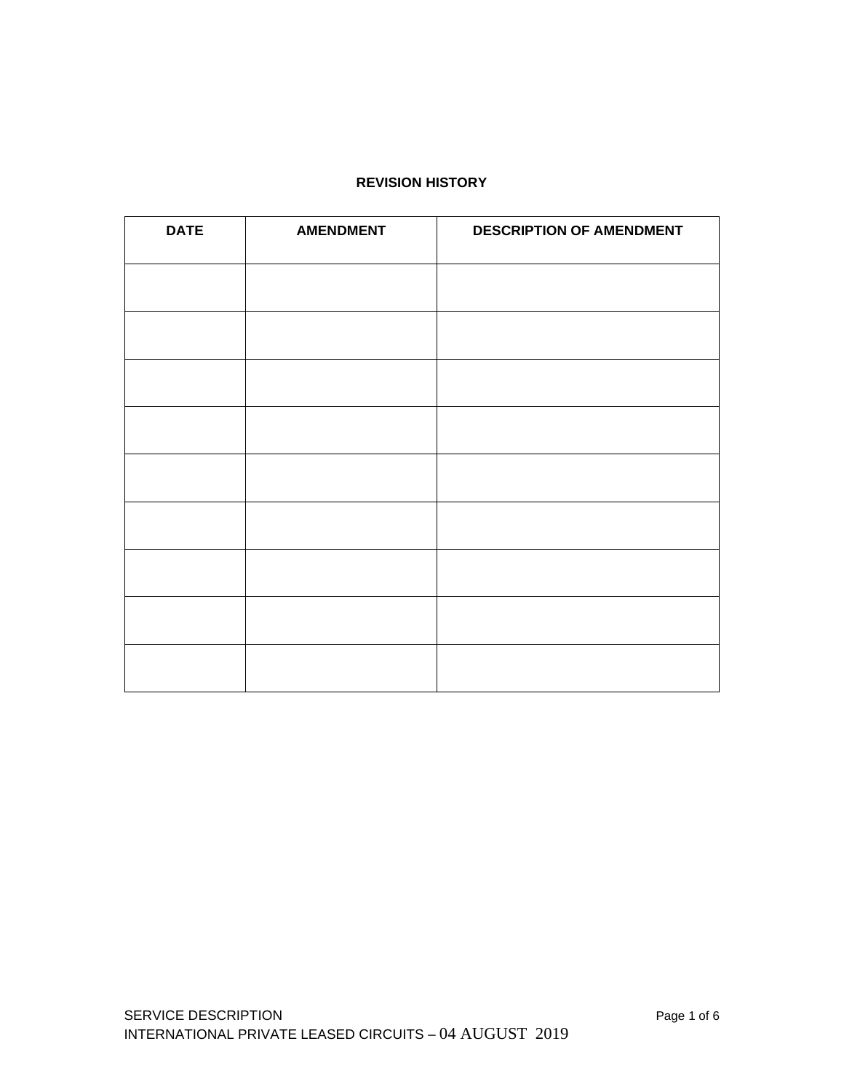### **REVISION HISTORY**

| <b>DATE</b> | <b>AMENDMENT</b> | <b>DESCRIPTION OF AMENDMENT</b> |
|-------------|------------------|---------------------------------|
|             |                  |                                 |
|             |                  |                                 |
|             |                  |                                 |
|             |                  |                                 |
|             |                  |                                 |
|             |                  |                                 |
|             |                  |                                 |
|             |                  |                                 |
|             |                  |                                 |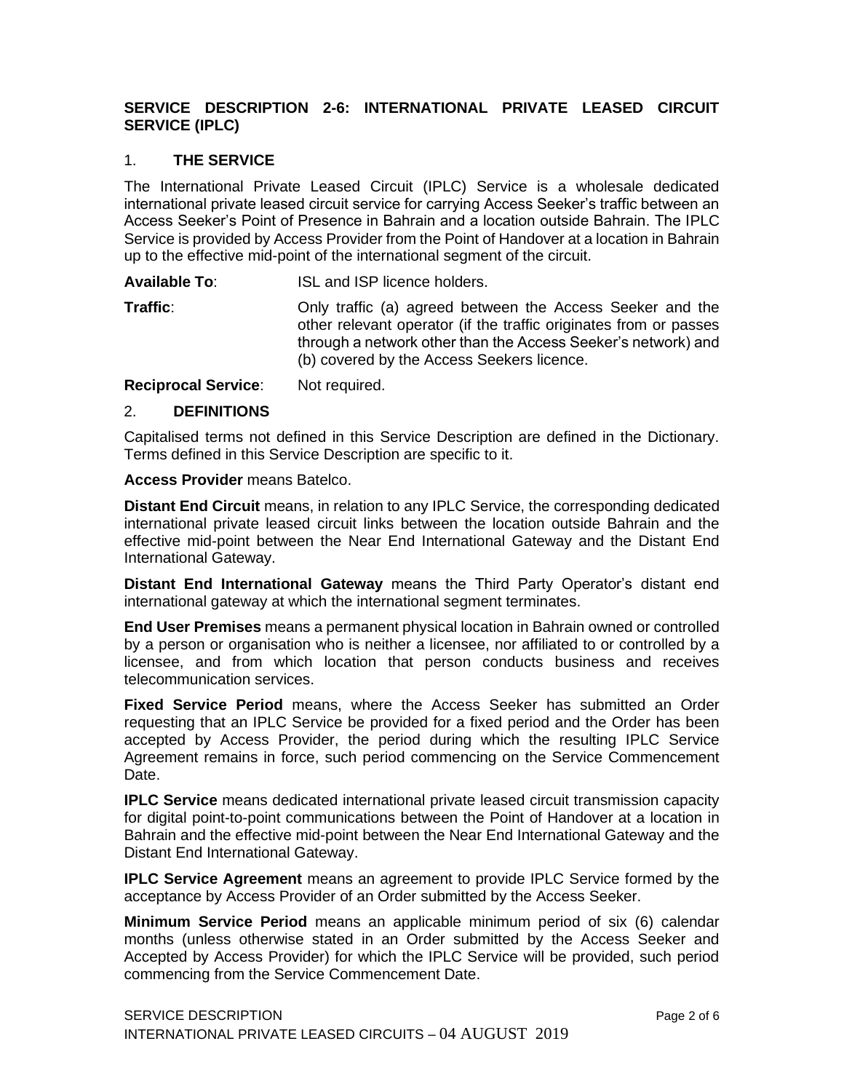# **SERVICE DESCRIPTION 2-6: INTERNATIONAL PRIVATE LEASED CIRCUIT SERVICE (IPLC)**

### 1. **THE SERVICE**

The International Private Leased Circuit (IPLC) Service is a wholesale dedicated international private leased circuit service for carrying Access Seeker's traffic between an Access Seeker's Point of Presence in Bahrain and a location outside Bahrain. The IPLC Service is provided by Access Provider from the Point of Handover at a location in Bahrain up to the effective mid-point of the international segment of the circuit.

**Available To**: ISL and ISP licence holders.

**Traffic:** Only traffic (a) agreed between the Access Seeker and the other relevant operator (if the traffic originates from or passes through a network other than the Access Seeker's network) and (b) covered by the Access Seekers licence.

**Reciprocal Service**: Not required.

### 2. **DEFINITIONS**

Capitalised terms not defined in this Service Description are defined in the Dictionary. Terms defined in this Service Description are specific to it.

### **Access Provider** means Batelco.

**Distant End Circuit** means, in relation to any IPLC Service, the corresponding dedicated international private leased circuit links between the location outside Bahrain and the effective mid-point between the Near End International Gateway and the Distant End International Gateway.

**Distant End International Gateway** means the Third Party Operator's distant end international gateway at which the international segment terminates.

**End User Premises** means a permanent physical location in Bahrain owned or controlled by a person or organisation who is neither a licensee, nor affiliated to or controlled by a licensee, and from which location that person conducts business and receives telecommunication services.

**Fixed Service Period** means, where the Access Seeker has submitted an Order requesting that an IPLC Service be provided for a fixed period and the Order has been accepted by Access Provider, the period during which the resulting IPLC Service Agreement remains in force, such period commencing on the Service Commencement Date.

**IPLC Service** means dedicated international private leased circuit transmission capacity for digital point-to-point communications between the Point of Handover at a location in Bahrain and the effective mid-point between the Near End International Gateway and the Distant End International Gateway.

**IPLC Service Agreement** means an agreement to provide IPLC Service formed by the acceptance by Access Provider of an Order submitted by the Access Seeker.

**Minimum Service Period** means an applicable minimum period of six (6) calendar months (unless otherwise stated in an Order submitted by the Access Seeker and Accepted by Access Provider) for which the IPLC Service will be provided, such period commencing from the Service Commencement Date.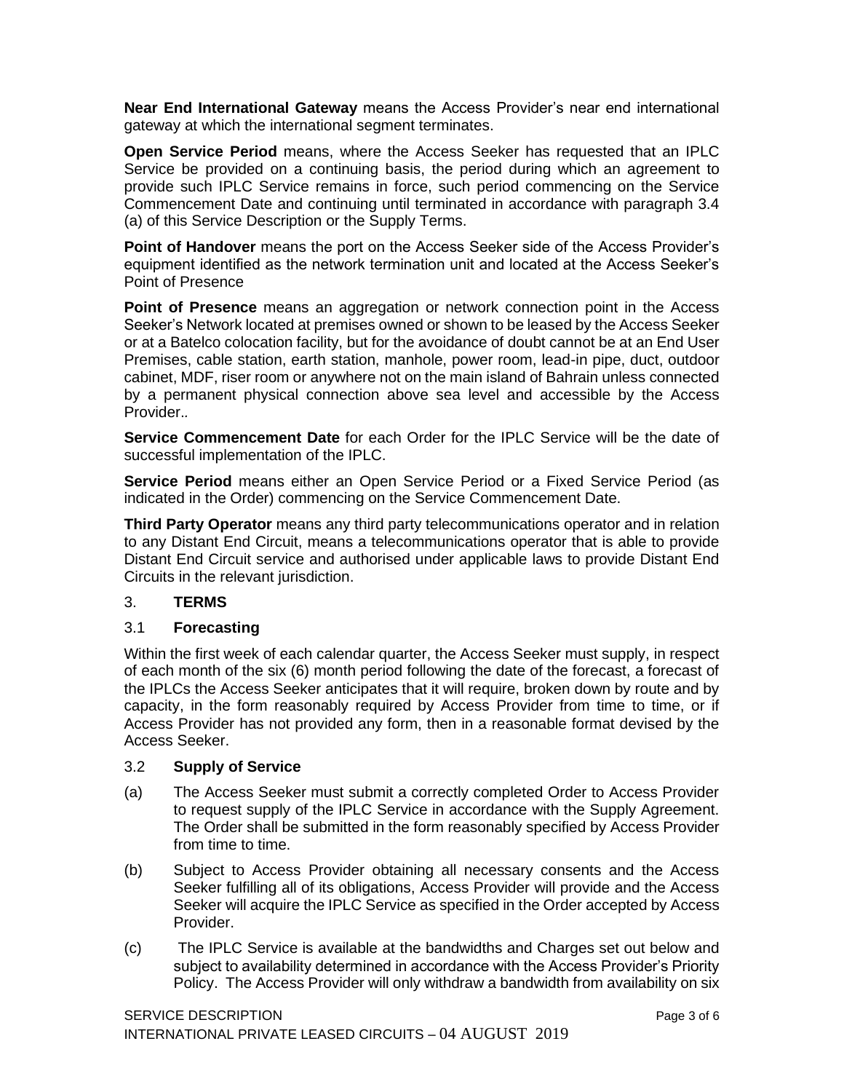**Near End International Gateway** means the Access Provider's near end international gateway at which the international segment terminates.

**Open Service Period** means, where the Access Seeker has requested that an IPLC Service be provided on a continuing basis, the period during which an agreement to provide such IPLC Service remains in force, such period commencing on the Service Commencement Date and continuing until terminated in accordance with paragraph 3.4 (a) of this Service Description or the Supply Terms.

**Point of Handover** means the port on the Access Seeker side of the Access Provider's equipment identified as the network termination unit and located at the Access Seeker's Point of Presence

**Point of Presence** means an aggregation or network connection point in the Access Seeker's Network located at premises owned or shown to be leased by the Access Seeker or at a Batelco colocation facility, but for the avoidance of doubt cannot be at an End User Premises, cable station, earth station, manhole, power room, lead-in pipe, duct, outdoor cabinet, MDF, riser room or anywhere not on the main island of Bahrain unless connected by a permanent physical connection above sea level and accessible by the Access Provider.*.*

**Service Commencement Date** for each Order for the IPLC Service will be the date of successful implementation of the IPLC.

**Service Period** means either an Open Service Period or a Fixed Service Period (as indicated in the Order) commencing on the Service Commencement Date.

**Third Party Operator** means any third party telecommunications operator and in relation to any Distant End Circuit, means a telecommunications operator that is able to provide Distant End Circuit service and authorised under applicable laws to provide Distant End Circuits in the relevant jurisdiction.

## 3. **TERMS**

### 3.1 **Forecasting**

Within the first week of each calendar quarter, the Access Seeker must supply, in respect of each month of the six (6) month period following the date of the forecast, a forecast of the IPLCs the Access Seeker anticipates that it will require, broken down by route and by capacity, in the form reasonably required by Access Provider from time to time, or if Access Provider has not provided any form, then in a reasonable format devised by the Access Seeker.

### 3.2 **Supply of Service**

- (a) The Access Seeker must submit a correctly completed Order to Access Provider to request supply of the IPLC Service in accordance with the Supply Agreement. The Order shall be submitted in the form reasonably specified by Access Provider from time to time.
- (b) Subject to Access Provider obtaining all necessary consents and the Access Seeker fulfilling all of its obligations, Access Provider will provide and the Access Seeker will acquire the IPLC Service as specified in the Order accepted by Access Provider.
- (c) The IPLC Service is available at the bandwidths and Charges set out below and subject to availability determined in accordance with the Access Provider's Priority Policy. The Access Provider will only withdraw a bandwidth from availability on six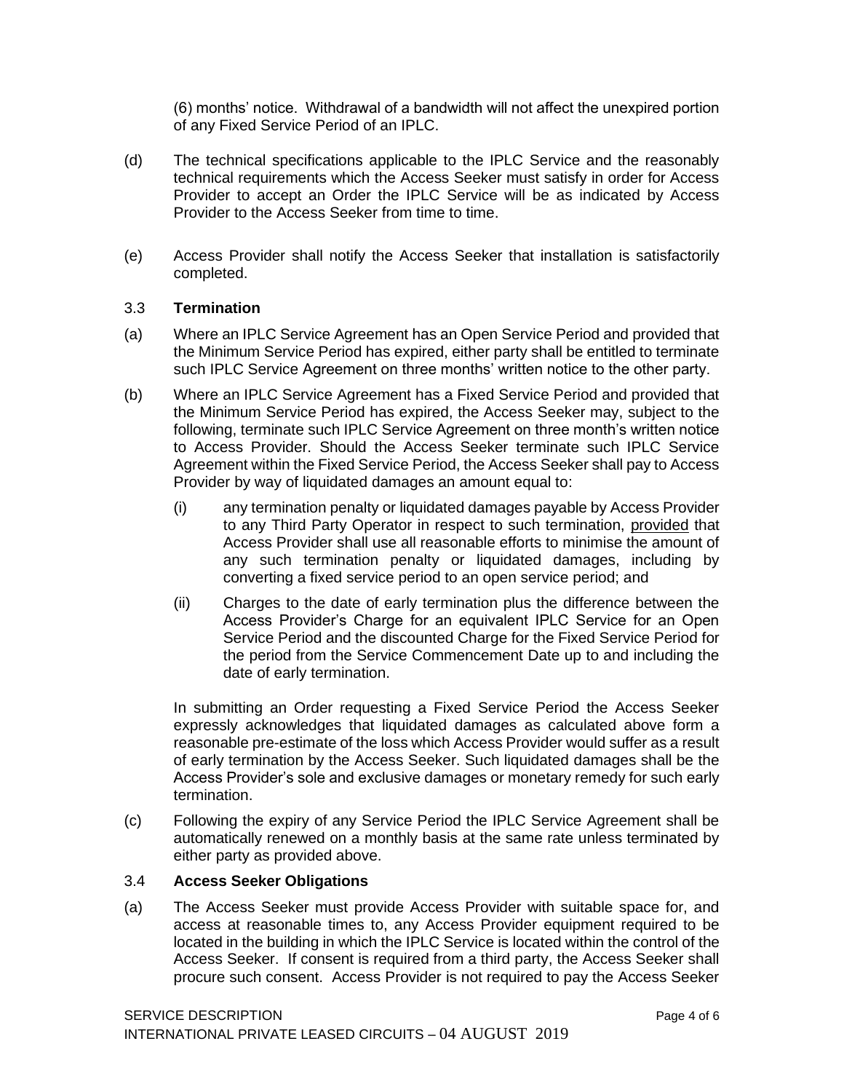(6) months' notice. Withdrawal of a bandwidth will not affect the unexpired portion of any Fixed Service Period of an IPLC.

- (d) The technical specifications applicable to the IPLC Service and the reasonably technical requirements which the Access Seeker must satisfy in order for Access Provider to accept an Order the IPLC Service will be as indicated by Access Provider to the Access Seeker from time to time.
- (e) Access Provider shall notify the Access Seeker that installation is satisfactorily completed.

### 3.3 **Termination**

- (a) Where an IPLC Service Agreement has an Open Service Period and provided that the Minimum Service Period has expired, either party shall be entitled to terminate such IPLC Service Agreement on three months' written notice to the other party.
- (b) Where an IPLC Service Agreement has a Fixed Service Period and provided that the Minimum Service Period has expired, the Access Seeker may, subject to the following, terminate such IPLC Service Agreement on three month's written notice to Access Provider. Should the Access Seeker terminate such IPLC Service Agreement within the Fixed Service Period, the Access Seeker shall pay to Access Provider by way of liquidated damages an amount equal to:
	- (i) any termination penalty or liquidated damages payable by Access Provider to any Third Party Operator in respect to such termination, provided that Access Provider shall use all reasonable efforts to minimise the amount of any such termination penalty or liquidated damages, including by converting a fixed service period to an open service period; and
	- (ii) Charges to the date of early termination plus the difference between the Access Provider's Charge for an equivalent IPLC Service for an Open Service Period and the discounted Charge for the Fixed Service Period for the period from the Service Commencement Date up to and including the date of early termination.

In submitting an Order requesting a Fixed Service Period the Access Seeker expressly acknowledges that liquidated damages as calculated above form a reasonable pre-estimate of the loss which Access Provider would suffer as a result of early termination by the Access Seeker. Such liquidated damages shall be the Access Provider's sole and exclusive damages or monetary remedy for such early termination.

(c) Following the expiry of any Service Period the IPLC Service Agreement shall be automatically renewed on a monthly basis at the same rate unless terminated by either party as provided above.

## 3.4 **Access Seeker Obligations**

(a) The Access Seeker must provide Access Provider with suitable space for, and access at reasonable times to, any Access Provider equipment required to be located in the building in which the IPLC Service is located within the control of the Access Seeker. If consent is required from a third party, the Access Seeker shall procure such consent. Access Provider is not required to pay the Access Seeker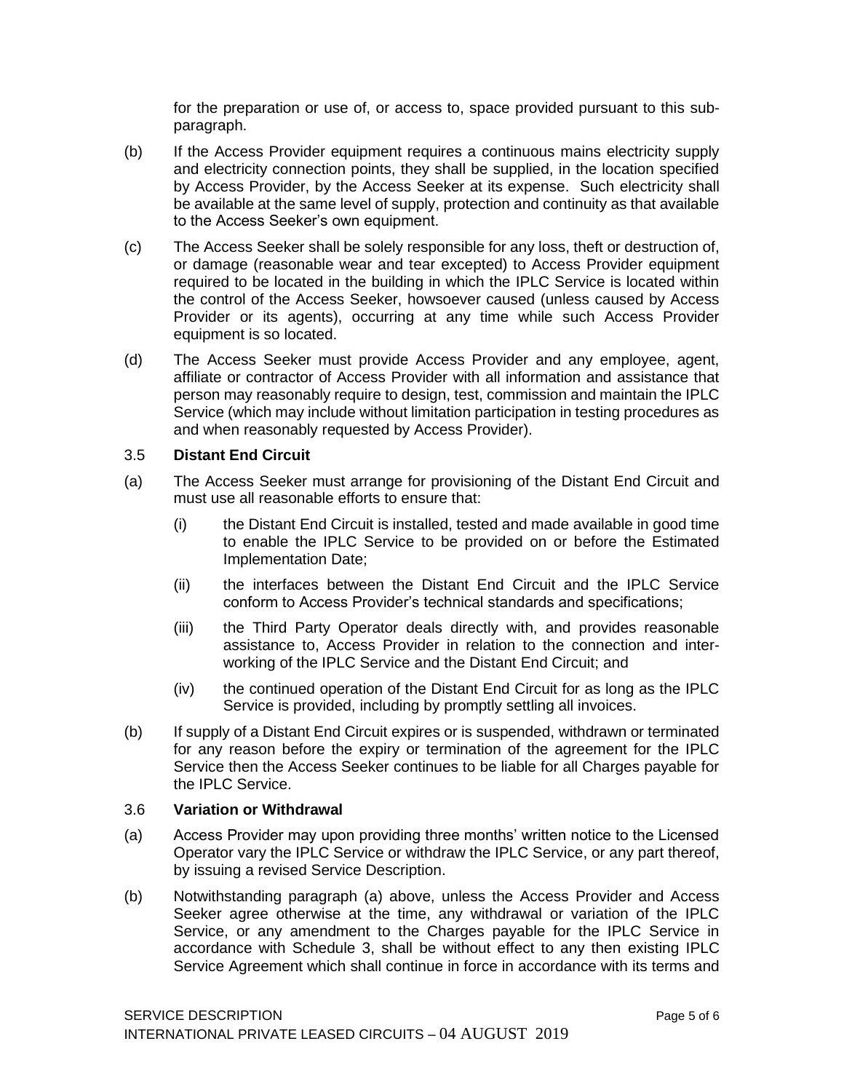for the preparation or use of, or access to, space provided pursuant to this subparagraph.

- (b) If the Access Provider equipment requires a continuous mains electricity supply and electricity connection points, they shall be supplied, in the location specified by Access Provider, by the Access Seeker at its expense. Such electricity shall be available at the same level of supply, protection and continuity as that available to the Access Seeker's own equipment.
- (c) The Access Seeker shall be solely responsible for any loss, theft or destruction of, or damage (reasonable wear and tear excepted) to Access Provider equipment required to be located in the building in which the IPLC Service is located within the control of the Access Seeker, howsoever caused (unless caused by Access Provider or its agents), occurring at any time while such Access Provider equipment is so located.
- (d) The Access Seeker must provide Access Provider and any employee, agent, affiliate or contractor of Access Provider with all information and assistance that person may reasonably require to design, test, commission and maintain the IPLC Service (which may include without limitation participation in testing procedures as and when reasonably requested by Access Provider).

### 3.5 **Distant End Circuit**

- (a) The Access Seeker must arrange for provisioning of the Distant End Circuit and must use all reasonable efforts to ensure that:
	- (i) the Distant End Circuit is installed, tested and made available in good time to enable the IPLC Service to be provided on or before the Estimated Implementation Date;
	- (ii) the interfaces between the Distant End Circuit and the IPLC Service conform to Access Provider's technical standards and specifications;
	- (iii) the Third Party Operator deals directly with, and provides reasonable assistance to, Access Provider in relation to the connection and interworking of the IPLC Service and the Distant End Circuit; and
	- (iv) the continued operation of the Distant End Circuit for as long as the IPLC Service is provided, including by promptly settling all invoices.
- (b) If supply of a Distant End Circuit expires or is suspended, withdrawn or terminated for any reason before the expiry or termination of the agreement for the IPLC Service then the Access Seeker continues to be liable for all Charges payable for the IPLC Service.

### 3.6 **Variation or Withdrawal**

- (a) Access Provider may upon providing three months' written notice to the Licensed Operator vary the IPLC Service or withdraw the IPLC Service, or any part thereof, by issuing a revised Service Description.
- (b) Notwithstanding paragraph (a) above, unless the Access Provider and Access Seeker agree otherwise at the time, any withdrawal or variation of the IPLC Service, or any amendment to the Charges payable for the IPLC Service in accordance with Schedule 3, shall be without effect to any then existing IPLC Service Agreement which shall continue in force in accordance with its terms and